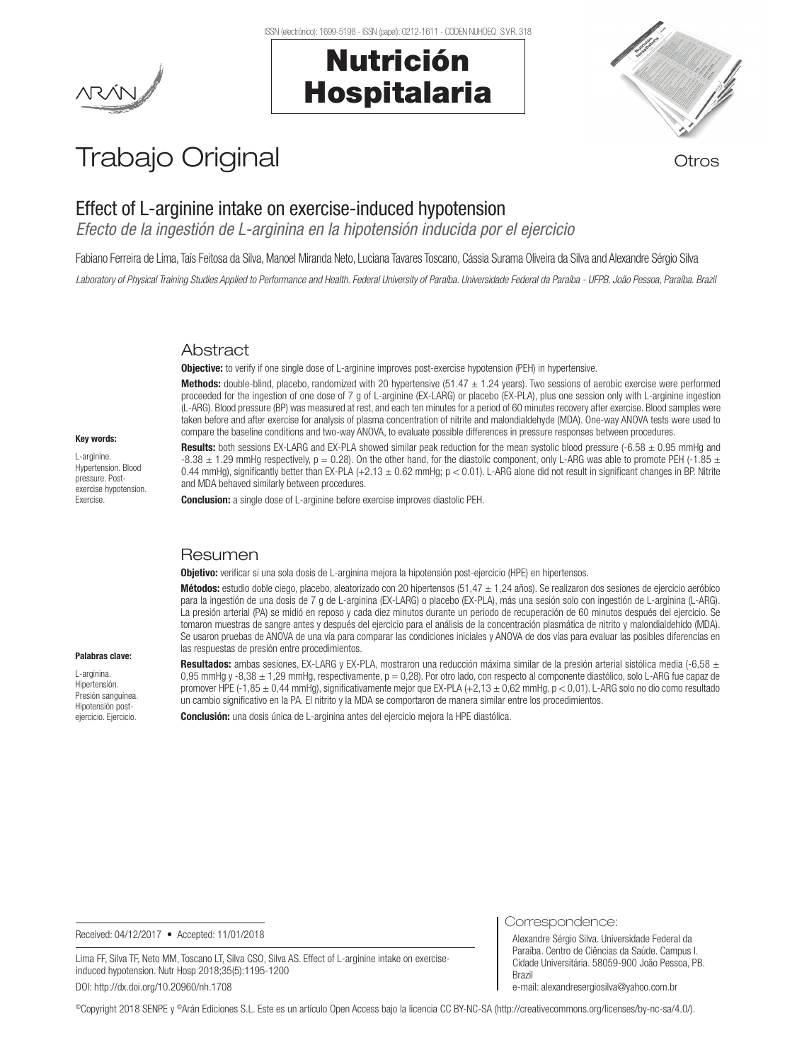#### ISSN (electrónico): 1699-5198 - ISSN (papel): 0212-1611 - CODEN NUHOEQ S.V.R. 318

# Nutrición Hospitalaria



## Trabajo Original **Trabajo Original**

## Effect of L-arginine intake on exercise-induced hypotension

*Efecto de la ingestión de L-arginina en la hipotensión inducida por el ejercicio*

Fabiano Ferreira de Lima, Taís Feitosa da Silva, Manoel Miranda Neto, Luciana Tavares Toscano, Cássia Surama Oliveira da Silva and Alexandre Sérgio Silva

*Laboratory of Physical Training Studies Applied to Performance and Health. Federal University of Paraíba. Universidade Federal da Paraíba - UFPB. João Pessoa, Paraíba. Brazil*

## **Abstract**

**Objective:** to verify if one single dose of L-arginine improves post-exercise hypotension (PEH) in hypertensive.

Methods: double-blind, placebo, randomized with 20 hypertensive (51.47  $\pm$  1.24 years). Two sessions of aerobic exercise were performed proceeded for the ingestion of one dose of 7 g of L-arginine (EX-LARG) or placebo (EX-PLA), plus one session only with L-arginine ingestion (L-ARG). Blood pressure (BP) was measured at rest, and each ten minutes for a period of 60 minutes recovery after exercise. Blood samples were taken before and after exercise for analysis of plasma concentration of nitrite and malondialdehyde (MDA). One-way ANOVA tests were used to compare the baseline conditions and two-way ANOVA, to evaluate possible differences in pressure responses between procedures.

#### Key words:

L-arginine. Hypertension. Blood pressure. Postexercise hypotension. **Exercise** 

Palabras clave: L-arginina. Hipertensión. Presión sanguínea. Hipotensión postejercicio. Ejercicio.

Results: both sessions EX-LARG and EX-PLA showed similar peak reduction for the mean systolic blood pressure  $(-6.58 \pm 0.95 \text{ mmH}$ g and -8.38  $\pm$  1.29 mmHg respectively, p = 0.28). On the other hand, for the diastolic component, only L-ARG was able to promote PEH (-1.85  $\pm$ 0.44 mmHg), significantly better than EX-PLA (+2.13 ± 0.62 mmHg; p < 0.01). L-ARG alone did not result in significant changes in BP. Nitrite and MDA behaved similarly between procedures.

Conclusion: a single dose of L-arginine before exercise improves diastolic PEH.

### Resumen

Objetivo: verificar si una sola dosis de L-arginina mejora la hipotensión post-ejercicio (HPE) en hipertensos.

**Métodos:** estudio doble ciego, placebo, aleatorizado con 20 hipertensos (51,47  $\pm$  1,24 años). Se realizaron dos sesiones de ejercicio aeróbico para la ingestión de una dosis de 7 g de L-arginina (EX-LARG) o placebo (EX-PLA), más una sesión solo con ingestión de L-arginina (L-ARG). La presión arterial (PA) se midió en reposo y cada diez minutos durante un periodo de recuperación de 60 minutos después del ejercicio. Se tomaron muestras de sangre antes y después del ejercicio para el análisis de la concentración plasmática de nitrito y malondialdehído (MDA). Se usaron pruebas de ANOVA de una vía para comparar las condiciones iniciales y ANOVA de dos vías para evaluar las posibles diferencias en las respuestas de presión entre procedimientos.

Resultados: ambas sesiones, EX-LARG y EX-PLA, mostraron una reducción máxima similar de la presión arterial sistólica media (-6,58  $\pm$ 0,95 mmHg y -8,38  $\pm$  1,29 mmHg, respectivamente,  $p = 0.28$ ). Por otro lado, con respecto al componente diastólico, solo L-ARG fue capaz de promover HPE (-1,85 ± 0,44 mmHg), significativamente mejor que EX-PLA (+2,13 ± 0,62 mmHg, p < 0,01). L-ARG solo no dio como resultado un cambio significativo en la PA. El nitrito y la MDA se comportaron de manera similar entre los procedimientos.

Conclusión: una dosis única de L-arginina antes del ejercicio mejora la HPE diastólica.

Received: 04/12/2017 • Accepted: 11/01/2018

Lima FF, Silva TF, Neto MM, Toscano LT, Silva CSO, Silva AS. Effect of L-arginine intake on exerciseinduced hypotension. Nutr Hosp 2018;35(5):1195-1200 DOI: http://dx.doi.org/10.20960/nh.1708

Correspondence:

Alexandre Sérgio Silva. Universidade Federal da Paraíba. Centro de Ciências da Saúde. Campus I. Cidade Universitária. 58059-900 João Pessoa, PB. Brazil e-mail: alexandresergiosilva@yahoo.com.br

©Copyright 2018 SENPE y ©Arán Ediciones S.L. Este es un artículo Open Access bajo la licencia CC BY-NC-SA (http://creativecommons.org/licenses/by-nc-sa/4.0/).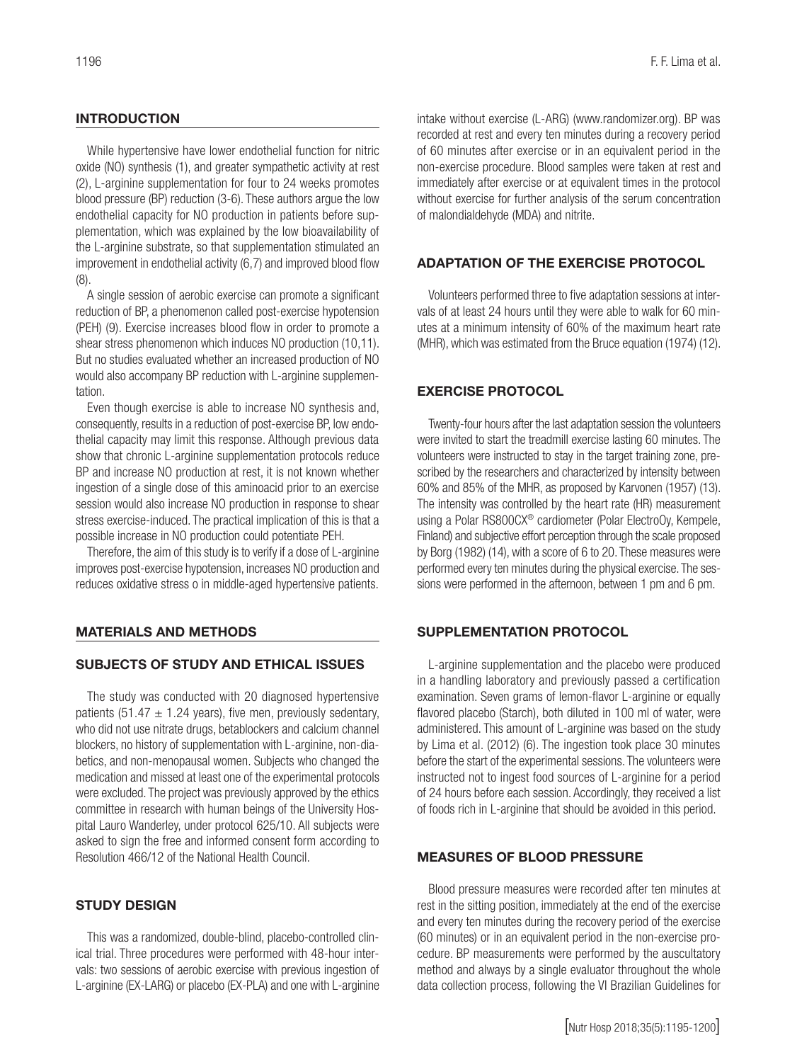## **INTRODUCTION**

While hypertensive have lower endothelial function for nitric oxide (NO) synthesis (1), and greater sympathetic activity at rest (2), L-arginine supplementation for four to 24 weeks promotes blood pressure (BP) reduction (3-6). These authors argue the low endothelial capacity for NO production in patients before supplementation, which was explained by the low bioavailability of the L-arginine substrate, so that supplementation stimulated an improvement in endothelial activity (6,7) and improved blood flow (8).

A single session of aerobic exercise can promote a significant reduction of BP, a phenomenon called post-exercise hypotension (PEH) (9). Exercise increases blood flow in order to promote a shear stress phenomenon which induces NO production (10,11). But no studies evaluated whether an increased production of NO would also accompany BP reduction with L-arginine supplementation.

Even though exercise is able to increase NO synthesis and, consequently, results in a reduction of post-exercise BP, low endothelial capacity may limit this response. Although previous data show that chronic L-arginine supplementation protocols reduce BP and increase NO production at rest, it is not known whether ingestion of a single dose of this aminoacid prior to an exercise session would also increase NO production in response to shear stress exercise-induced. The practical implication of this is that a possible increase in NO production could potentiate PEH.

Therefore, the aim of this study is to verify if a dose of L-arginine improves post-exercise hypotension, increases NO production and reduces oxidative stress o in middle-aged hypertensive patients.

### MATERIALS AND METHODS

## SUBJECTS OF STUDY AND ETHICAL ISSUES

The study was conducted with 20 diagnosed hypertensive patients (51.47  $\pm$  1.24 years), five men, previously sedentary, who did not use nitrate drugs, betablockers and calcium channel blockers, no history of supplementation with L-arginine, non-diabetics, and non-menopausal women. Subjects who changed the medication and missed at least one of the experimental protocols were excluded. The project was previously approved by the ethics committee in research with human beings of the University Hospital Lauro Wanderley, under protocol 625/10. All subjects were asked to sign the free and informed consent form according to Resolution 466/12 of the National Health Council.

### STUDY DESIGN

This was a randomized, double-blind, placebo-controlled clinical trial. Three procedures were performed with 48-hour intervals: two sessions of aerobic exercise with previous ingestion of L-arginine (EX-LARG) or placebo (EX-PLA) and one with L-arginine

intake without exercise (L-ARG) (www.randomizer.org). BP was recorded at rest and every ten minutes during a recovery period of 60 minutes after exercise or in an equivalent period in the non-exercise procedure. Blood samples were taken at rest and immediately after exercise or at equivalent times in the protocol without exercise for further analysis of the serum concentration of malondialdehyde (MDA) and nitrite.

## ADAPTATION OF THE EXERCISE PROTOCOL

Volunteers performed three to five adaptation sessions at intervals of at least 24 hours until they were able to walk for 60 minutes at a minimum intensity of 60% of the maximum heart rate (MHR), which was estimated from the Bruce equation (1974) (12).

## EXERCISE PROTOCOL

Twenty-four hours after the last adaptation session the volunteers were invited to start the treadmill exercise lasting 60 minutes. The volunteers were instructed to stay in the target training zone, prescribed by the researchers and characterized by intensity between 60% and 85% of the MHR, as proposed by Karvonen (1957) (13). The intensity was controlled by the heart rate (HR) measurement using a Polar RS800CX® cardiometer (Polar ElectroOy, Kempele, Finland) and subjective effort perception through the scale proposed by Borg (1982) (14), with a score of 6 to 20. These measures were performed every ten minutes during the physical exercise. The sessions were performed in the afternoon, between 1 pm and 6 pm.

## SUPPLEMENTATION PROTOCOL

L-arginine supplementation and the placebo were produced in a handling laboratory and previously passed a certification examination. Seven grams of lemon-flavor L-arginine or equally flavored placebo (Starch), both diluted in 100 ml of water, were administered. This amount of L-arginine was based on the study by Lima et al. (2012) (6). The ingestion took place 30 minutes before the start of the experimental sessions. The volunteers were instructed not to ingest food sources of L-arginine for a period of 24 hours before each session. Accordingly, they received a list of foods rich in L-arginine that should be avoided in this period.

### MEASURES OF BLOOD PRESSURE

Blood pressure measures were recorded after ten minutes at rest in the sitting position, immediately at the end of the exercise and every ten minutes during the recovery period of the exercise (60 minutes) or in an equivalent period in the non-exercise procedure. BP measurements were performed by the auscultatory method and always by a single evaluator throughout the whole data collection process, following the VI Brazilian Guidelines for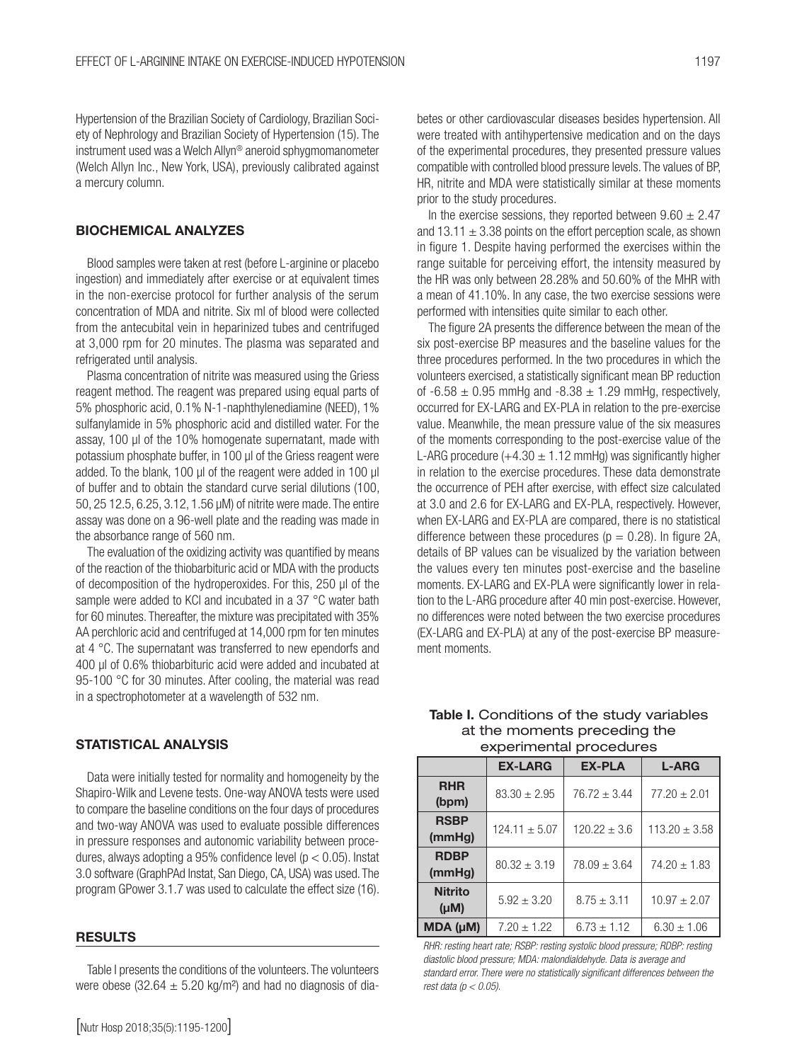Hypertension of the Brazilian Society of Cardiology, Brazilian Society of Nephrology and Brazilian Society of Hypertension (15). The instrument used was a Welch Allyn® aneroid sphygmomanometer (Welch Allyn Inc., New York, USA), previously calibrated against a mercury column.

#### BIOCHEMICAL ANALYZES

Blood samples were taken at rest (before L-arginine or placebo ingestion) and immediately after exercise or at equivalent times in the non-exercise protocol for further analysis of the serum concentration of MDA and nitrite. Six ml of blood were collected from the antecubital vein in heparinized tubes and centrifuged at 3,000 rpm for 20 minutes. The plasma was separated and refrigerated until analysis.

Plasma concentration of nitrite was measured using the Griess reagent method. The reagent was prepared using equal parts of 5% phosphoric acid, 0.1% N-1-naphthylenediamine (NEED), 1% sulfanylamide in 5% phosphoric acid and distilled water. For the assay, 100 μl of the 10% homogenate supernatant, made with potassium phosphate buffer, in 100 μl of the Griess reagent were added. To the blank, 100 μl of the reagent were added in 100 μl of buffer and to obtain the standard curve serial dilutions (100, 50, 25 12.5, 6.25, 3.12, 1.56 μM) of nitrite were made. The entire assay was done on a 96-well plate and the reading was made in the absorbance range of 560 nm.

The evaluation of the oxidizing activity was quantified by means of the reaction of the thiobarbituric acid or MDA with the products of decomposition of the hydroperoxides. For this, 250 μl of the sample were added to KCI and incubated in a 37 °C water bath for 60 minutes. Thereafter, the mixture was precipitated with 35% AA perchloric acid and centrifuged at 14,000 rpm for ten minutes at 4 °C. The supernatant was transferred to new ependorfs and 400 μl of 0.6% thiobarbituric acid were added and incubated at 95-100 °C for 30 minutes. After cooling, the material was read in a spectrophotometer at a wavelength of 532 nm.

#### STATISTICAL ANALYSIS

Data were initially tested for normality and homogeneity by the Shapiro-Wilk and Levene tests. One-way ANOVA tests were used to compare the baseline conditions on the four days of procedures and two-way ANOVA was used to evaluate possible differences in pressure responses and autonomic variability between procedures, always adopting a 95% confidence level ( $p < 0.05$ ). Instat 3.0 software (GraphPAd Instat, San Diego, CA, USA) was used. The program GPower 3.1.7 was used to calculate the effect size (16).

#### RESULTS

Table I presents the conditions of the volunteers. The volunteers were obese (32.64  $\pm$  5.20 kg/m<sup>2</sup>) and had no diagnosis of dia1197

betes or other cardiovascular diseases besides hypertension. All were treated with antihypertensive medication and on the days of the experimental procedures, they presented pressure values compatible with controlled blood pressure levels. The values of BP, HR, nitrite and MDA were statistically similar at these moments prior to the study procedures.

In the exercise sessions, they reported between  $9.60 \pm 2.47$ and  $13.11 \pm 3.38$  points on the effort perception scale, as shown in figure 1. Despite having performed the exercises within the range suitable for perceiving effort, the intensity measured by the HR was only between 28.28% and 50.60% of the MHR with a mean of 41.10%. In any case, the two exercise sessions were performed with intensities quite similar to each other.

The figure 2A presents the difference between the mean of the six post-exercise BP measures and the baseline values for the three procedures performed. In the two procedures in which the volunteers exercised, a statistically significant mean BP reduction of  $-6.58 \pm 0.95$  mmHg and  $-8.38 \pm 1.29$  mmHg, respectively, occurred for EX-LARG and EX-PLA in relation to the pre-exercise value. Meanwhile, the mean pressure value of the six measures of the moments corresponding to the post-exercise value of the L-ARG procedure  $(+4.30 \pm 1.12 \text{ mm}$ Hg) was significantly higher in relation to the exercise procedures. These data demonstrate the occurrence of PEH after exercise, with effect size calculated at 3.0 and 2.6 for EX-LARG and EX-PLA, respectively. However, when EX-LARG and EX-PLA are compared, there is no statistical difference between these procedures ( $p = 0.28$ ). In figure 2A, details of BP values can be visualized by the variation between the values every ten minutes post-exercise and the baseline moments. EX-LARG and EX-PLA were significantly lower in relation to the L-ARG procedure after 40 min post-exercise. However, no differences were noted between the two exercise procedures (EX-LARG and EX-PLA) at any of the post-exercise BP measurement moments.

Table I. Conditions of the study variables at the moments preceding the experimental procedures

|                             | <b>EX-LARG</b>    | <b>EX-PLA</b>    | <b>L-ARG</b>      |
|-----------------------------|-------------------|------------------|-------------------|
| <b>RHR</b><br>(bpm)         | $83.30 \pm 2.95$  | $76.72 \pm 3.44$ | $77.20 \pm 2.01$  |
| <b>RSBP</b><br>(mmHg)       | $124.11 \pm 5.07$ | $120.22 \pm 3.6$ | $113.20 \pm 3.58$ |
| <b>RDBP</b><br>(mmHg)       | $80.32 \pm 3.19$  | $78.09 \pm 3.64$ | $74.20 \pm 1.83$  |
| <b>Nitrito</b><br>$(\mu M)$ | $5.92 \pm 3.20$   | $8.75 \pm 3.11$  | $10.97 \pm 2.07$  |
| MDA (µM)                    | $7.20 \pm 1.22$   | $6.73 \pm 1.12$  | $6.30 \pm 1.06$   |

*RHR: resting heart rate; RSBP: resting systolic blood pressure; RDBP: resting diastolic blood pressure; MDA: malondialdehyde. Data is average and standard error. There were no statistically significant differences between the rest data (p < 0.05).*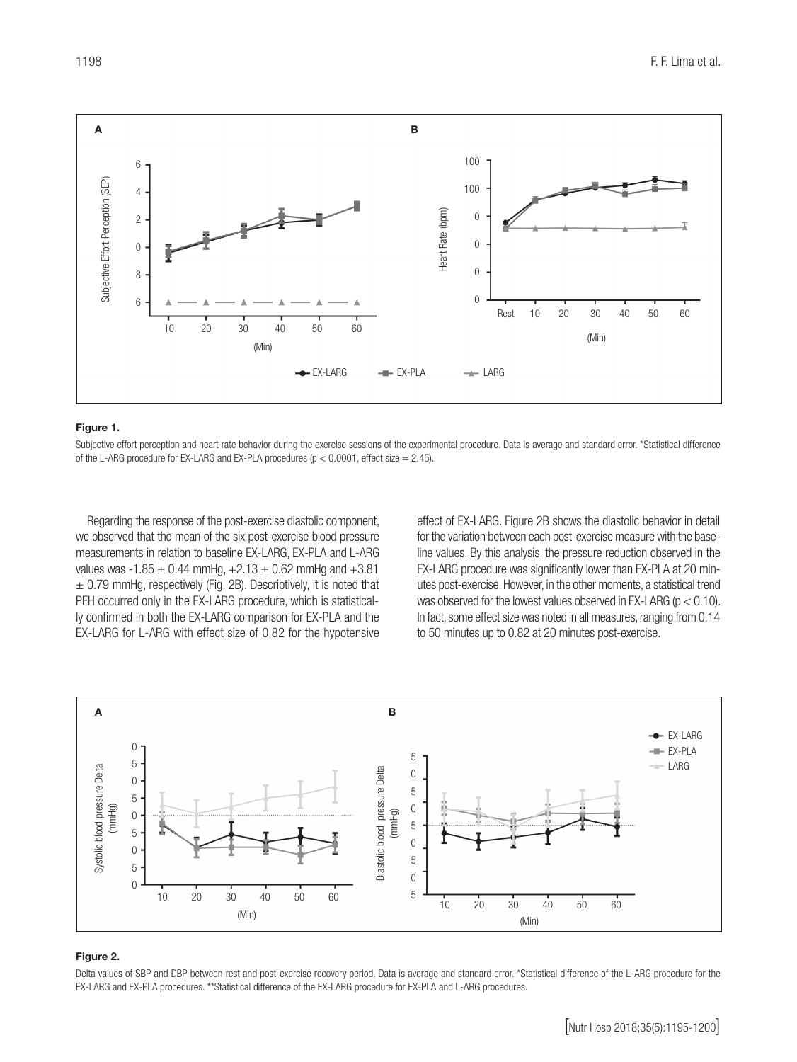

#### Figure 1.

Subjective effort perception and heart rate behavior during the exercise sessions of the experimental procedure. Data is average and standard error. \*Statistical difference

Regarding the response of the post-exercise diastolic component, we observed that the mean of the six post-exercise blood pressure measurements in relation to baseline EX-LARG, EX-PLA and L-ARG values was -1.85  $\pm$  0.44 mmHg, +2.13  $\pm$  0.62 mmHg and +3.81  $\pm$  0.79 mmHg, respectively (Fig. 2B). Descriptively, it is noted that PEH occurred only in the EX-LARG procedure, which is statistically confirmed in both the EX-LARG comparison for EX-PLA and the EX-LARG for L-ARG with effect size of 0.82 for the hypotensive

effect of EX-LARG. Figure 2B shows the diastolic behavior in detail for the variation between each post-exercise measure with the baseline values. By this analysis, the pressure reduction observed in the EX-LARG procedure was significantly lower than EX-PLA at 20 minutes post-exercise. However, in the other moments, a statistical trend was observed for the lowest values observed in EX-LARG ( $p < 0.10$ ). In fact, some effect size was noted in all measures, ranging from 0.14 to 50 minutes up to 0.82 at 20 minutes post-exercise.



#### Figure 2.

Delta values of SBP and DBP between rest and post-exercise recovery period. Data is average and standard error. \*Statistical difference of the L-ARG procedure for the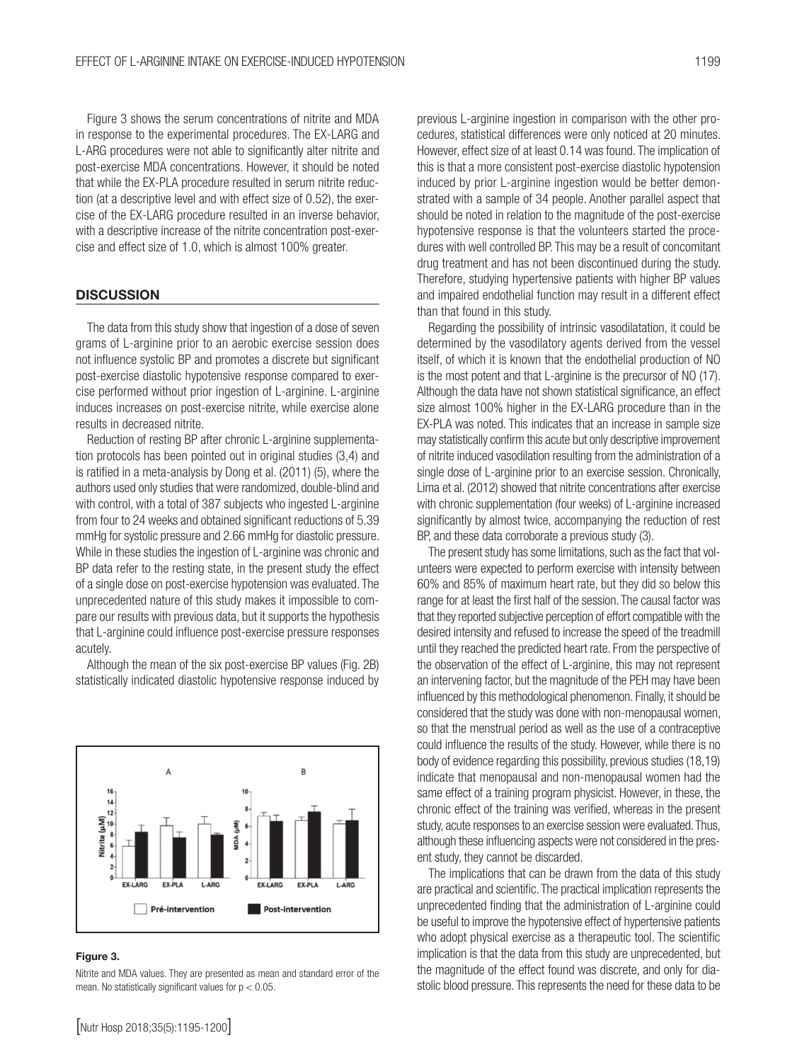Figure 3 shows the serum concentrations of nitrite and MDA in response to the experimental procedures. The EX-LARG and L-ARG procedures were not able to significantly alter nitrite and post-exercise MDA concentrations. However, it should be noted that while the EX-PLA procedure resulted in serum nitrite reduction (at a descriptive level and with effect size of 0.52), the exercise of the EX-LARG procedure resulted in an inverse behavior, with a descriptive increase of the nitrite concentration post-exercise and effect size of 1.0, which is almost 100% greater.

#### **DISCUSSION**

The data from this study show that ingestion of a dose of seven grams of L-arginine prior to an aerobic exercise session does not influence systolic BP and promotes a discrete but significant post-exercise diastolic hypotensive response compared to exercise performed without prior ingestion of L-arginine. L-arginine induces increases on post-exercise nitrite, while exercise alone results in decreased nitrite.

Reduction of resting BP after chronic L-arginine supplementation protocols has been pointed out in original studies (3,4) and is ratified in a meta-analysis by Dong et al. (2011) (5), where the authors used only studies that were randomized, double-blind and with control, with a total of 387 subjects who ingested L-arginine from four to 24 weeks and obtained significant reductions of 5.39 mmHg for systolic pressure and 2.66 mmHg for diastolic pressure. While in these studies the ingestion of L-arginine was chronic and BP data refer to the resting state, in the present study the effect of a single dose on post-exercise hypotension was evaluated. The unprecedented nature of this study makes it impossible to compare our results with previous data, but it supports the hypothesis that L-arginine could influence post-exercise pressure responses acutely.

Although the mean of the six post-exercise BP values (Fig. 2B) statistically indicated diastolic hypotensive response induced by



#### Figure 3.

Nitrite and MDA values. They are presented as mean and standard error of the mean. No statistically significant values for  $p < 0.05$ .

previous L-arginine ingestion in comparison with the other procedures, statistical differences were only noticed at 20 minutes. However, effect size of at least 0.14 was found. The implication of this is that a more consistent post-exercise diastolic hypotension induced by prior L-arginine ingestion would be better demonstrated with a sample of 34 people. Another parallel aspect that should be noted in relation to the magnitude of the post-exercise hypotensive response is that the volunteers started the procedures with well controlled BP. This may be a result of concomitant drug treatment and has not been discontinued during the study. Therefore, studying hypertensive patients with higher BP values and impaired endothelial function may result in a different effect than that found in this study. Regarding the possibility of intrinsic vasodilatation, it could be

determined by the vasodilatory agents derived from the vessel itself, of which it is known that the endothelial production of NO is the most potent and that L-arginine is the precursor of NO (17). Although the data have not shown statistical significance, an effect size almost 100% higher in the EX-LARG procedure than in the EX-PLA was noted. This indicates that an increase in sample size may statistically confirm this acute but only descriptive improvement of nitrite induced vasodilation resulting from the administration of a single dose of L-arginine prior to an exercise session. Chronically, Lima et al. (2012) showed that nitrite concentrations after exercise with chronic supplementation (four weeks) of L-arginine increased significantly by almost twice, accompanying the reduction of rest BP, and these data corroborate a previous study (3).

The present study has some limitations, such as the fact that volunteers were expected to perform exercise with intensity between 60% and 85% of maximum heart rate, but they did so below this range for at least the first half of the session. The causal factor was that they reported subjective perception of effort compatible with the desired intensity and refused to increase the speed of the treadmill until they reached the predicted heart rate. From the perspective of the observation of the effect of L-arginine, this may not represent an intervening factor, but the magnitude of the PEH may have been influenced by this methodological phenomenon. Finally, it should be considered that the study was done with non-menopausal women, so that the menstrual period as well as the use of a contraceptive could influence the results of the study. However, while there is no body of evidence regarding this possibility, previous studies (18,19) indicate that menopausal and non-menopausal women had the same effect of a training program physicist. However, in these, the chronic effect of the training was verified, whereas in the present study, acute responses to an exercise session were evaluated. Thus, although these influencing aspects were not considered in the present study, they cannot be discarded.

The implications that can be drawn from the data of this study are practical and scientific. The practical implication represents the unprecedented finding that the administration of L-arginine could be useful to improve the hypotensive effect of hypertensive patients who adopt physical exercise as a therapeutic tool. The scientific implication is that the data from this study are unprecedented, but the magnitude of the effect found was discrete, and only for diastolic blood pressure. This represents the need for these data to be